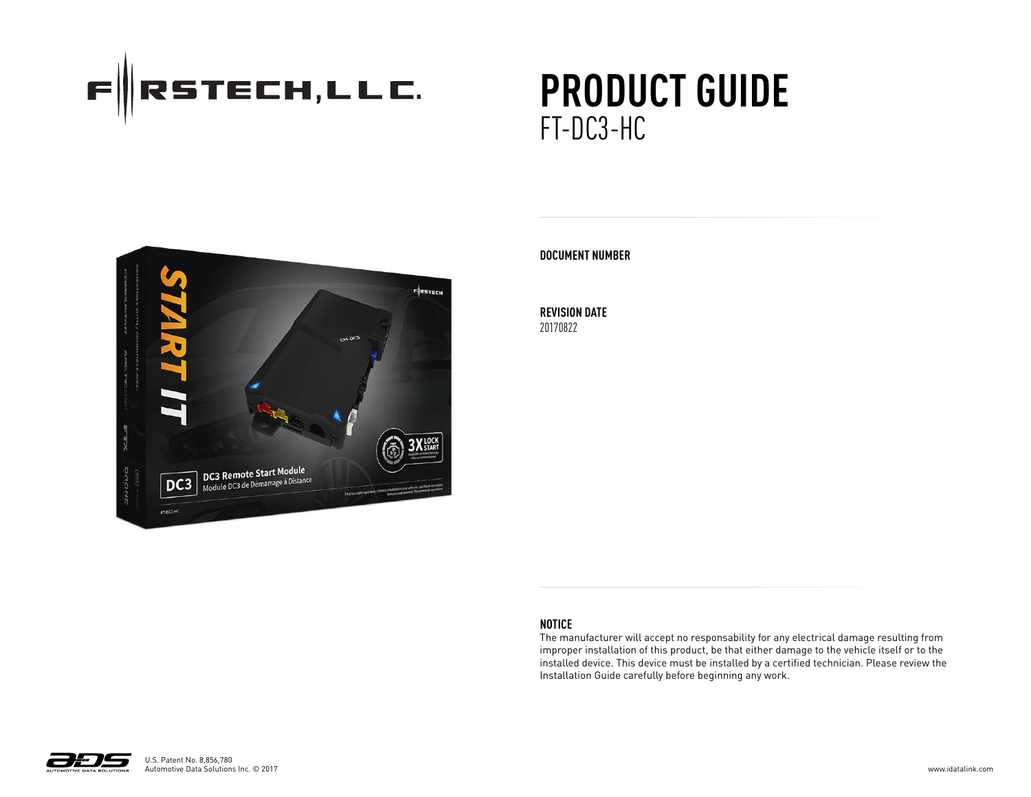

# **PRODUCT GUIDE** FT-DC3-HC



#### **DOCUMENT NUMBER**

**REVISION DATE** 20170822

#### **NOTICE**

The manufacturer will accept no responsability for any electrical damage resulting from improper installation of this product, be that either damage to the vehicle itself or to the installed device. This device must be installed by a certified technician. Please review the Installation Guide carefully before beginning any work.

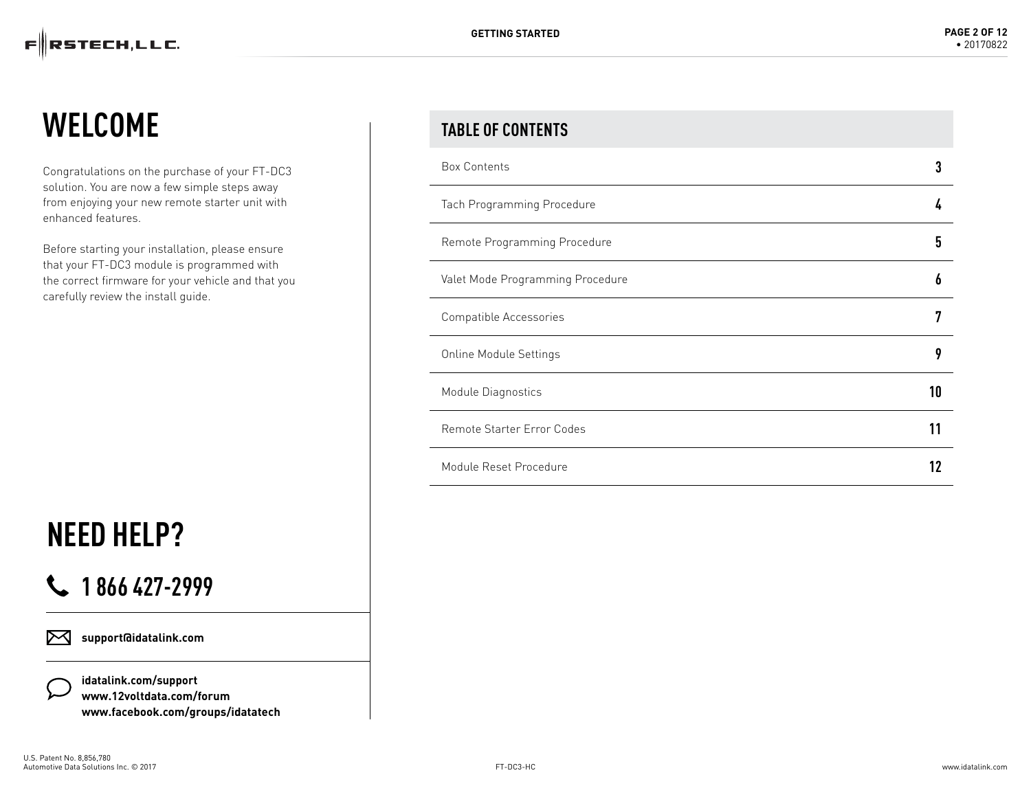## **WELCOME**

Congratulations on the purchase of your FT-DC3 solution. You are now a few simple steps away from enjoying your new remote starter unit with enhanced features.

Before starting your installation, please ensure that your FT-DC3 module is programmed with the correct firmware for your vehicle and that you carefully review the install guide.

# **NEED HELP?**

### **1 866 427-2999**

**support@idatalink.com** ⊠

> **idatalink.com/support www.12voltdata.com/forum www.facebook.com/groups/idatatech**

#### **TABLE OF CONTENTS**

| <b>Box Contents</b>               |    |
|-----------------------------------|----|
| Tach Programming Procedure        |    |
| Remote Programming Procedure      | 5  |
| Valet Mode Programming Procedure  | Ō  |
| Compatible Accessories            | 7  |
| <b>Online Module Settings</b>     | 9  |
| Module Diagnostics                | 10 |
| <b>Remote Starter Error Codes</b> |    |
| Module Reset Procedure            |    |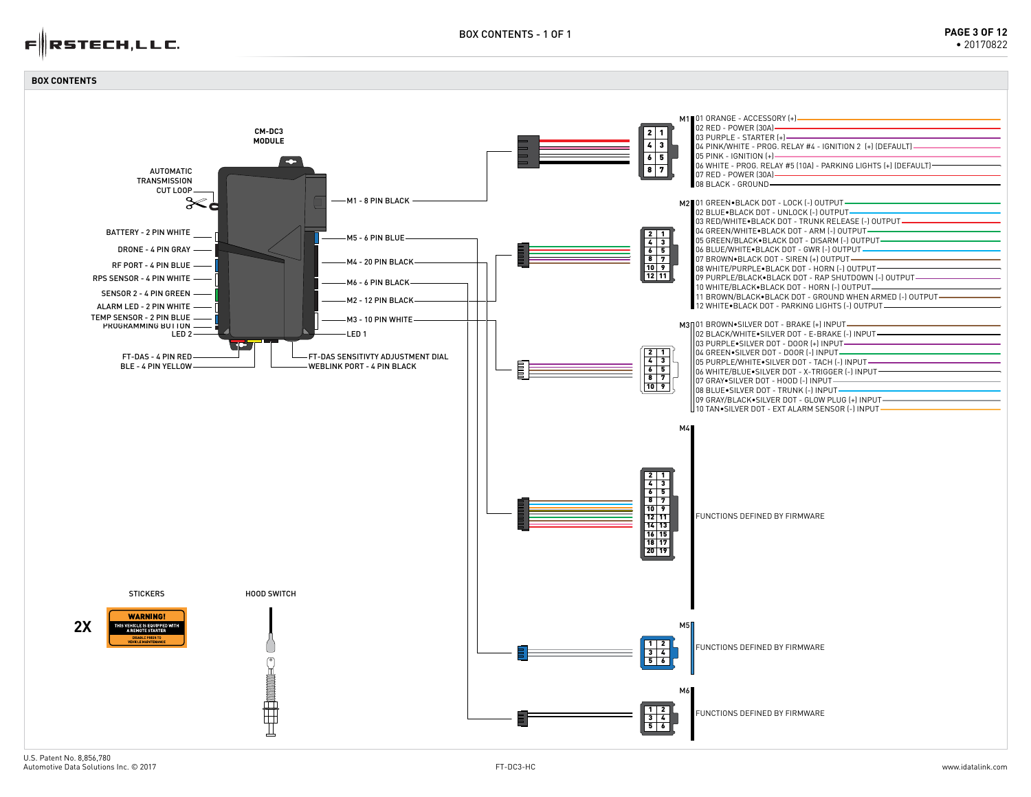

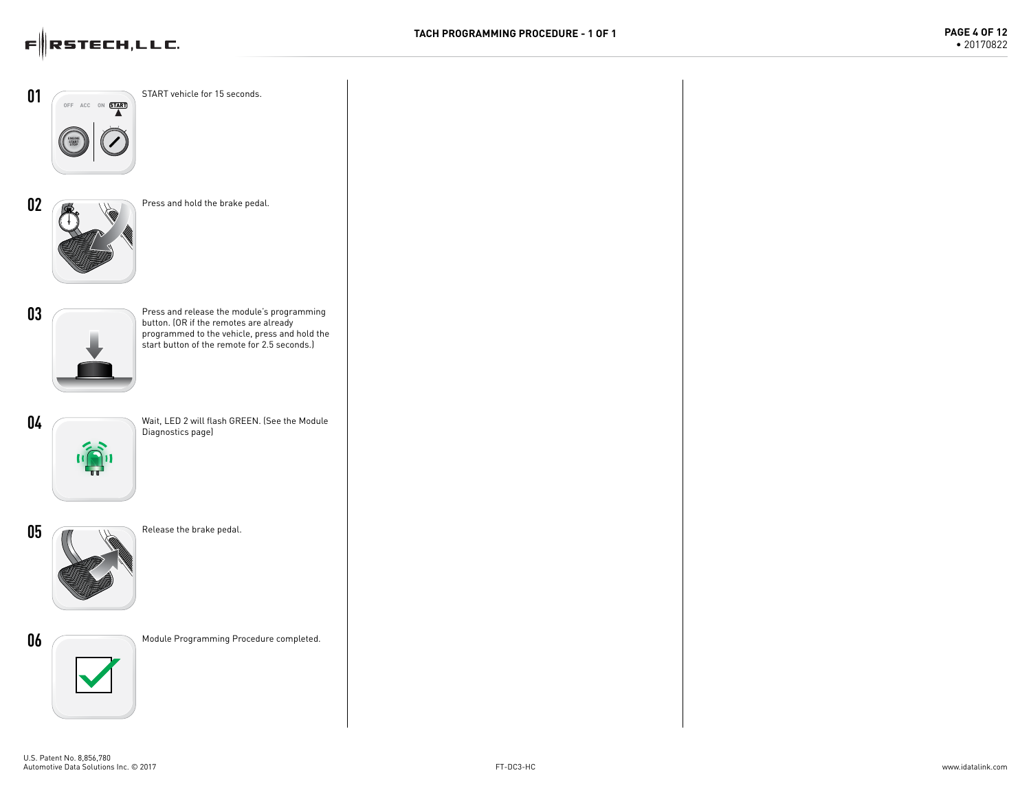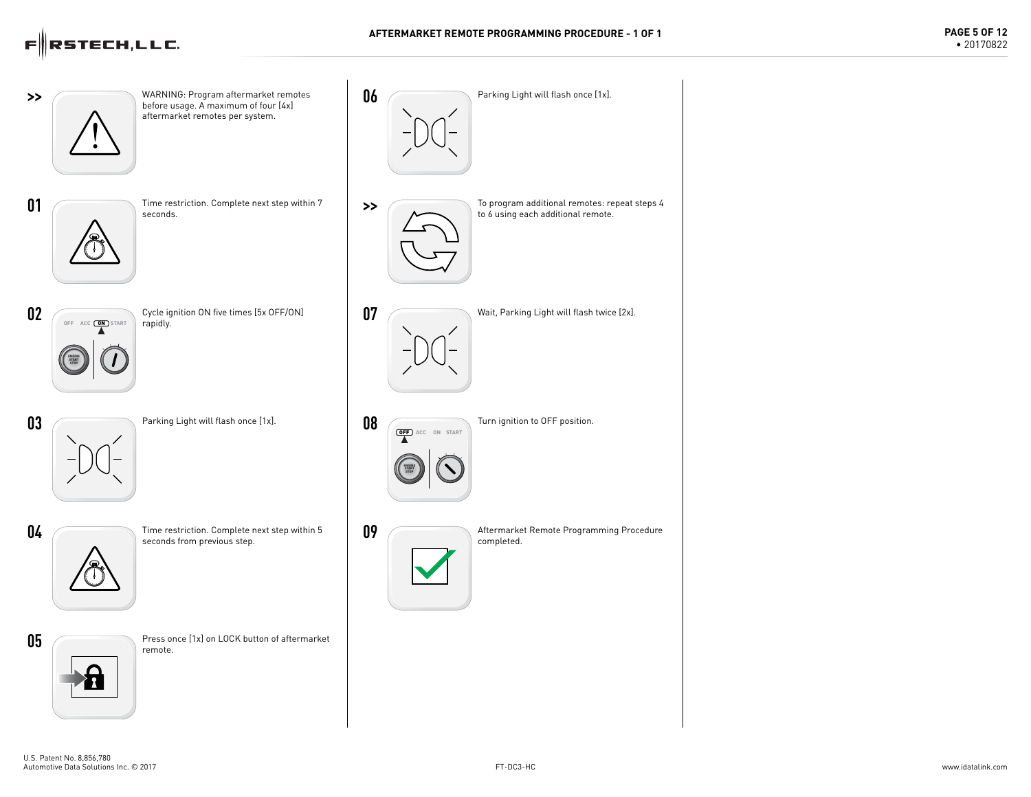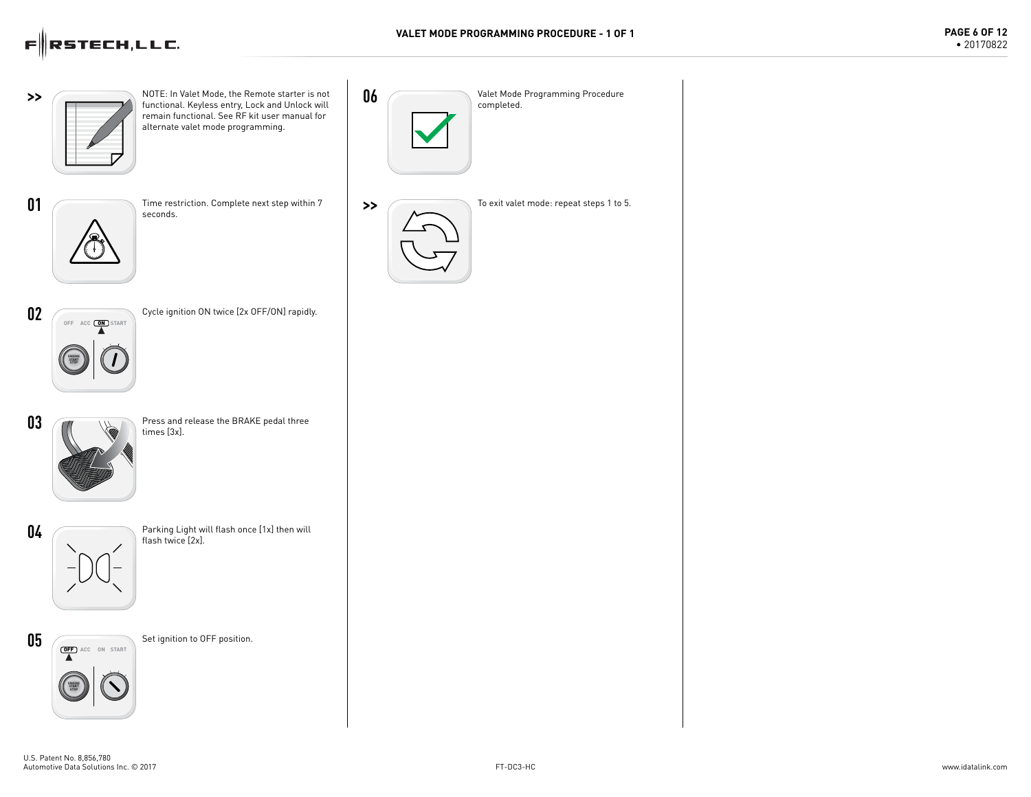

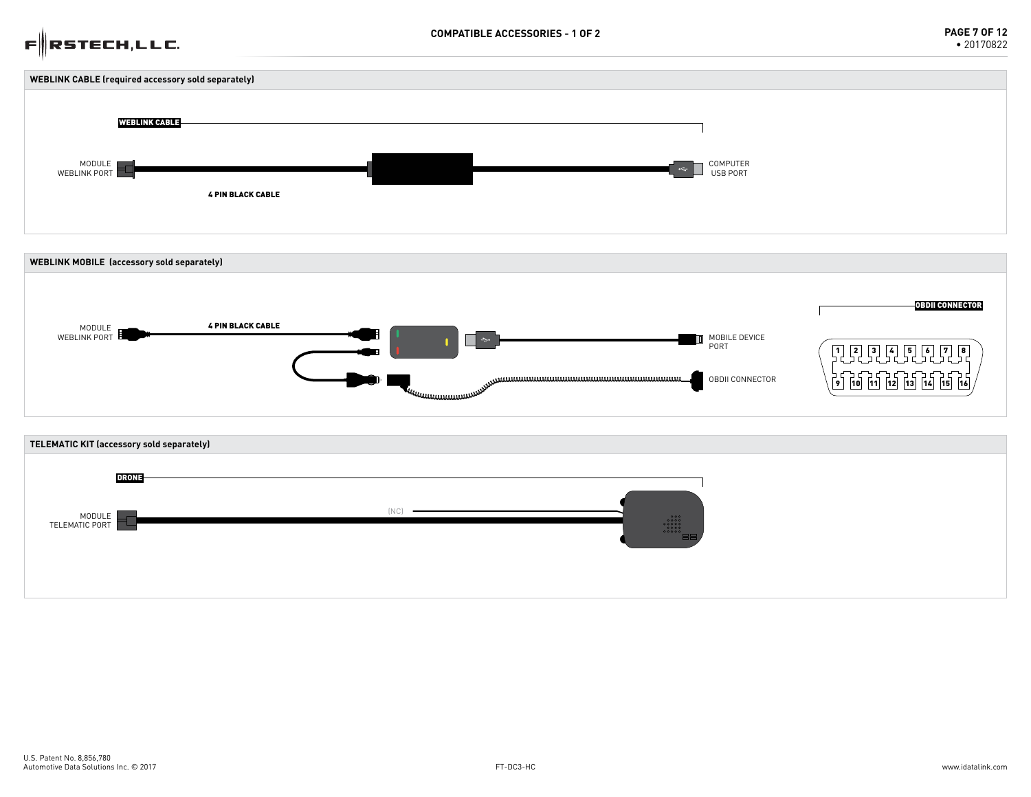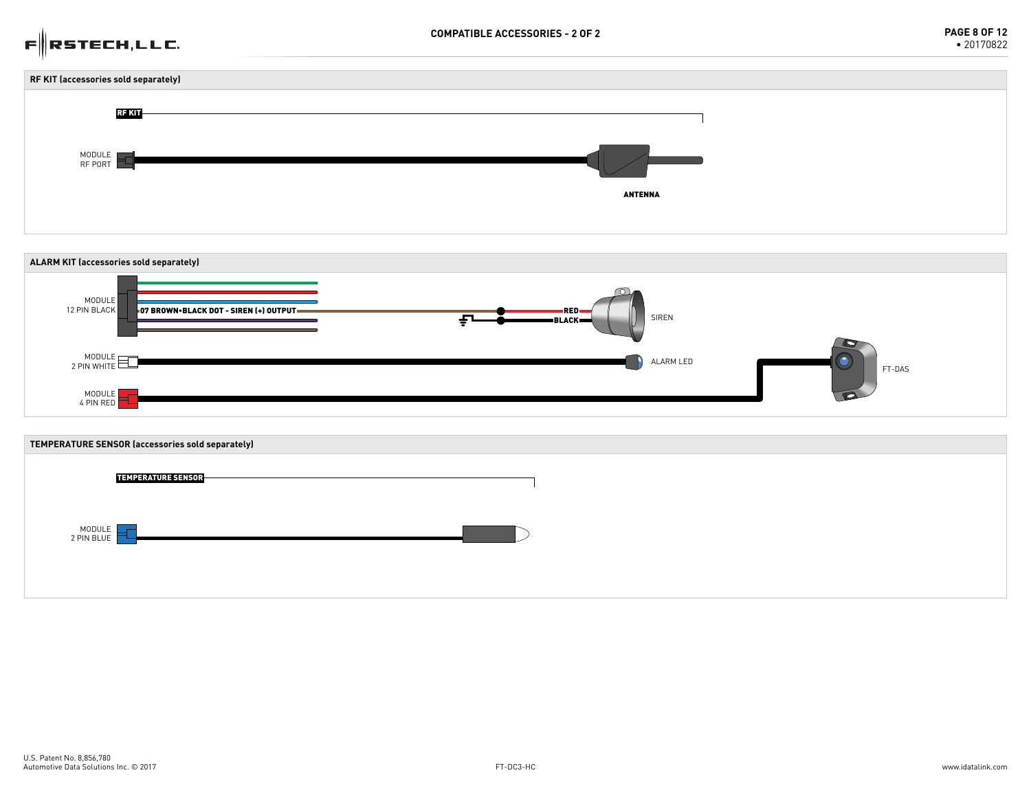### $F \|$ RSTECH,LLC.





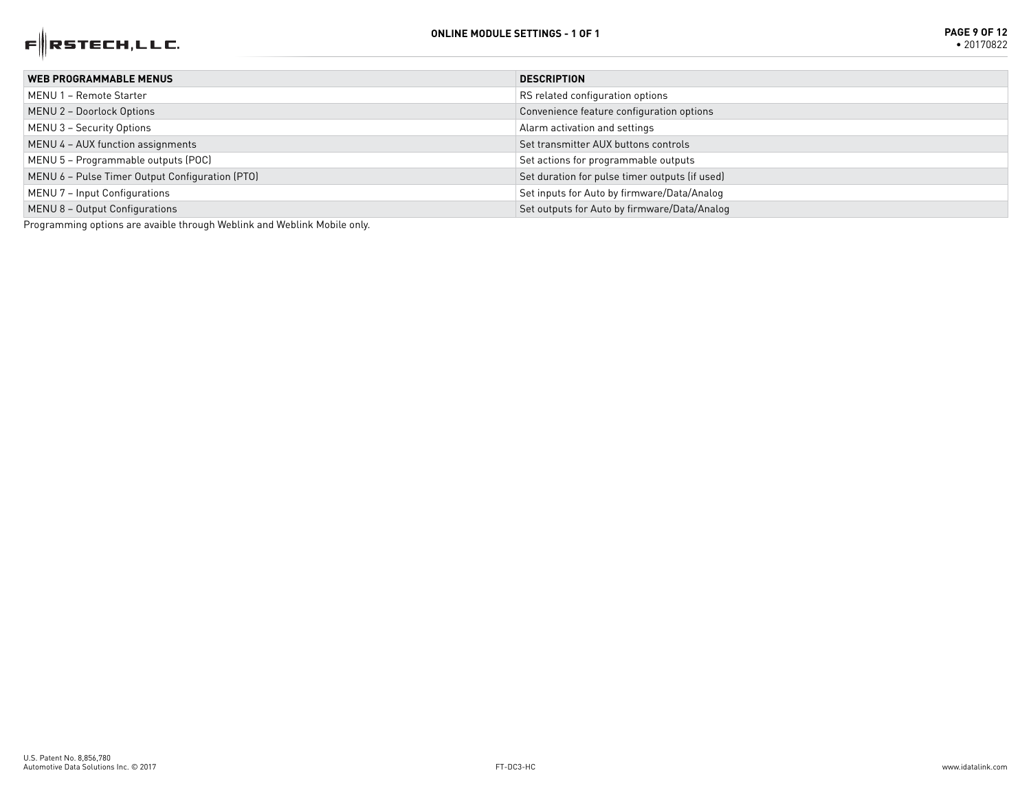

| <b>WEB PROGRAMMABLE MENUS</b>                   | <b>DESCRIPTION</b>                             |
|-------------------------------------------------|------------------------------------------------|
| MENU 1 - Remote Starter                         | RS related configuration options               |
| MENU 2 - Doorlock Options                       | Convenience feature configuration options      |
| MENU 3 - Security Options                       | Alarm activation and settings                  |
| MENU 4 - AUX function assignments               | Set transmitter AUX buttons controls           |
| MENU 5 - Programmable outputs (POC)             | Set actions for programmable outputs           |
| MENU 6 - Pulse Timer Output Configuration (PTO) | Set duration for pulse timer outputs (if used) |
| MENU 7 - Input Configurations                   | Set inputs for Auto by firmware/Data/Analog    |
| MENU 8 - Output Configurations                  | Set outputs for Auto by firmware/Data/Analog   |

Programming options are avaible through Weblink and Weblink Mobile only.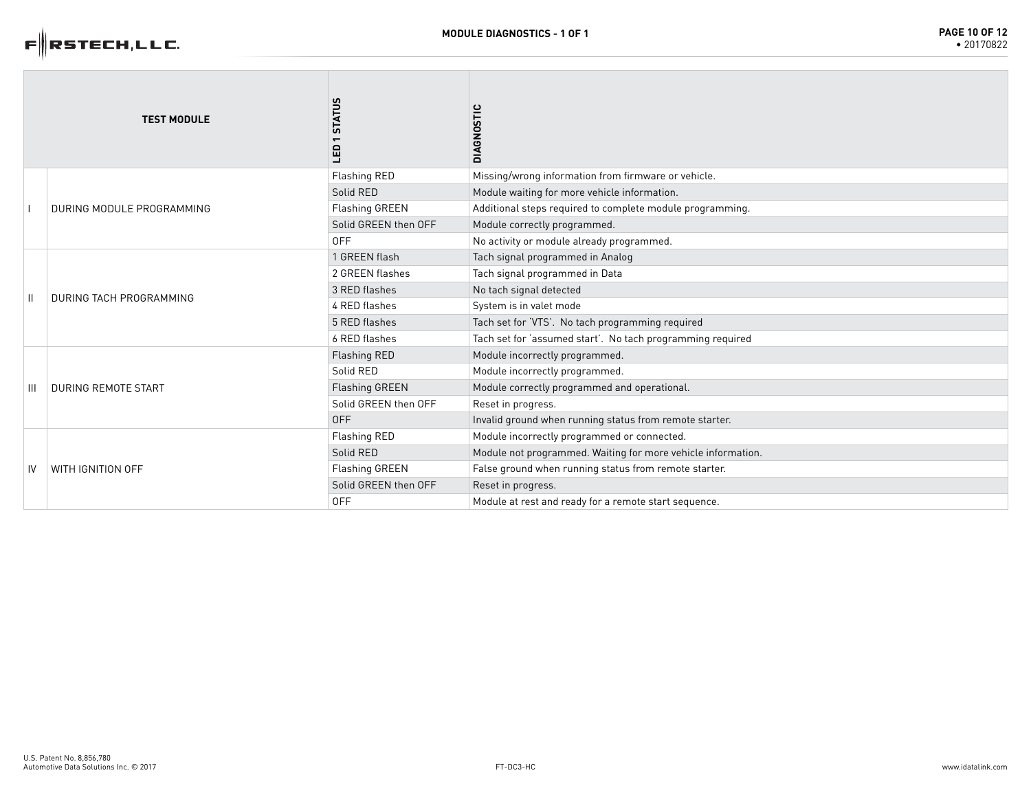

|    | <b>TEST MODULE</b>         | <b>STATUS</b><br>Ga   | <b>DIAGNOSTIC</b>                                            |
|----|----------------------------|-----------------------|--------------------------------------------------------------|
|    | DURING MODULE PROGRAMMING  | <b>Flashing RED</b>   | Missing/wrong information from firmware or vehicle.          |
|    |                            | Solid RED             | Module waiting for more vehicle information.                 |
|    |                            | Flashing GREEN        | Additional steps required to complete module programming.    |
|    |                            | Solid GREEN then OFF  | Module correctly programmed.                                 |
|    |                            | <b>OFF</b>            | No activity or module already programmed.                    |
|    |                            | 1 GREEN flash         | Tach signal programmed in Analog                             |
|    | DURING TACH PROGRAMMING    | 2 GREEN flashes       | Tach signal programmed in Data                               |
|    |                            | 3 RED flashes         | No tach signal detected                                      |
|    |                            | 4 RED flashes         | System is in valet mode                                      |
|    |                            | 5 RED flashes         | Tach set for 'VTS'. No tach programming required             |
|    |                            | 6 RED flashes         | Tach set for 'assumed start'. No tach programming required   |
|    | <b>DURING REMOTE START</b> | Flashing RED          | Module incorrectly programmed.                               |
|    |                            | Solid RED             | Module incorrectly programmed.                               |
| Ш  |                            | <b>Flashing GREEN</b> | Module correctly programmed and operational.                 |
|    |                            | Solid GREEN then OFF  | Reset in progress.                                           |
|    |                            | <b>OFF</b>            | Invalid ground when running status from remote starter.      |
|    | WITH IGNITION OFF          | Flashing RED          | Module incorrectly programmed or connected.                  |
|    |                            | Solid RED             | Module not programmed. Waiting for more vehicle information. |
| IV |                            | <b>Flashing GREEN</b> | False ground when running status from remote starter.        |
|    |                            | Solid GREEN then OFF  | Reset in progress.                                           |
|    |                            | <b>OFF</b>            | Module at rest and ready for a remote start sequence.        |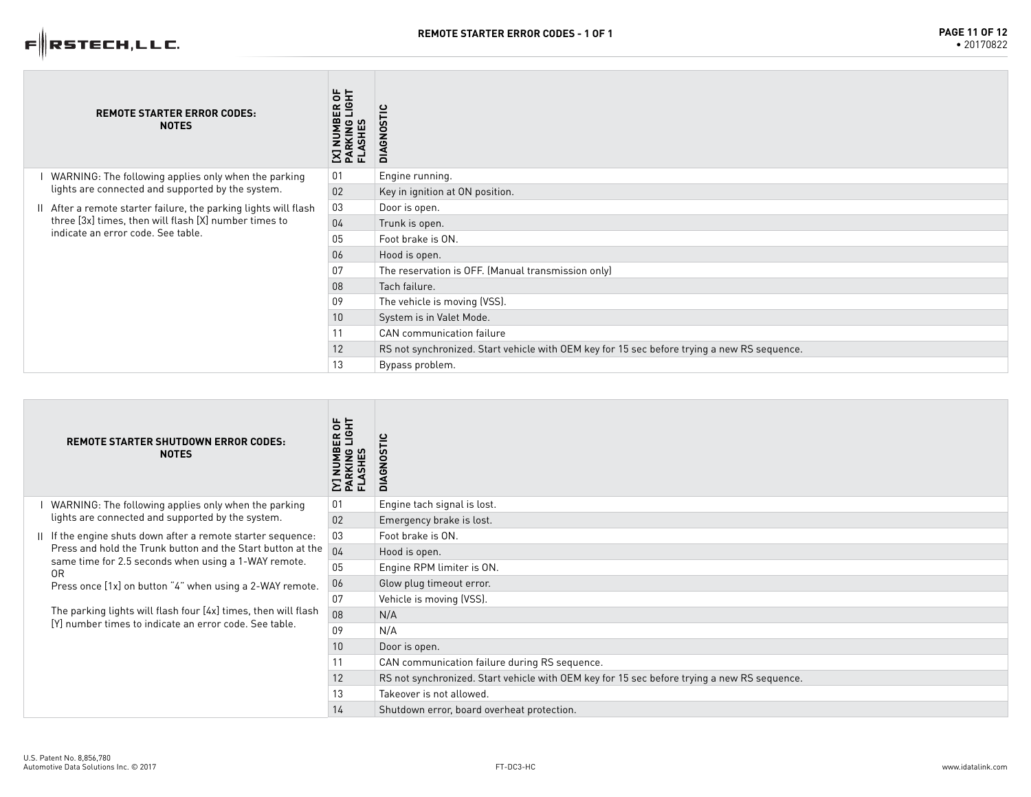### $F$ RSTECH,LLC.

|  | <b>REMOTE STARTER ERROR CODES:</b><br><b>NOTES</b>                                                                                                           | ER OF<br>LIGHT<br><b>IMBER</b><br>KING<br>SHES<br>PARKI<br>FLASH | ്<br>57<br>$\circ$<br>ശ<br>$\leq$                                                           |
|--|--------------------------------------------------------------------------------------------------------------------------------------------------------------|------------------------------------------------------------------|---------------------------------------------------------------------------------------------|
|  | WARNING: The following applies only when the parking<br>lights are connected and supported by the system.                                                    | 01                                                               | Engine running.                                                                             |
|  |                                                                                                                                                              | 02                                                               | Key in ignition at ON position.                                                             |
|  | After a remote starter failure, the parking lights will flash<br>three [3x] times, then will flash [X] number times to<br>indicate an error code. See table. | 03                                                               | Door is open.                                                                               |
|  |                                                                                                                                                              | 04                                                               | Trunk is open.                                                                              |
|  |                                                                                                                                                              | 05                                                               | Foot brake is ON.                                                                           |
|  |                                                                                                                                                              | 06                                                               | Hood is open.                                                                               |
|  |                                                                                                                                                              | 07                                                               | The reservation is OFF. (Manual transmission only)                                          |
|  |                                                                                                                                                              | 08                                                               | Tach failure.                                                                               |
|  |                                                                                                                                                              | 09                                                               | The vehicle is moving (VSS).                                                                |
|  |                                                                                                                                                              | 10 <sup>°</sup>                                                  | System is in Valet Mode.                                                                    |
|  |                                                                                                                                                              | 11                                                               | CAN communication failure                                                                   |
|  |                                                                                                                                                              | 12                                                               | RS not synchronized. Start vehicle with OEM key for 15 sec before trying a new RS sequence. |
|  |                                                                                                                                                              | 13                                                               | Bypass problem.                                                                             |

|  | <b>REMOTE STARTER SHUTDOWN ERROR CODES:</b><br><b>NOTES</b>                                                                                                                                                                                                                                                                                                                       | ER OF<br>LIGHT | in<br>DIAGNO                                                                                |
|--|-----------------------------------------------------------------------------------------------------------------------------------------------------------------------------------------------------------------------------------------------------------------------------------------------------------------------------------------------------------------------------------|----------------|---------------------------------------------------------------------------------------------|
|  | WARNING: The following applies only when the parking<br>lights are connected and supported by the system.                                                                                                                                                                                                                                                                         | 01             | Engine tach signal is lost.                                                                 |
|  |                                                                                                                                                                                                                                                                                                                                                                                   | 02             | Emergency brake is lost.                                                                    |
|  | II If the engine shuts down after a remote starter sequence:<br>Press and hold the Trunk button and the Start button at the<br>same time for 2.5 seconds when using a 1-WAY remote.<br>0R<br>Press once [1x] on button "4" when using a 2-WAY remote.<br>The parking lights will flash four [4x] times, then will flash<br>[Y] number times to indicate an error code. See table. | 03             | Foot brake is ON.                                                                           |
|  |                                                                                                                                                                                                                                                                                                                                                                                   | 04             | Hood is open.                                                                               |
|  |                                                                                                                                                                                                                                                                                                                                                                                   | 05             | Engine RPM limiter is ON.                                                                   |
|  |                                                                                                                                                                                                                                                                                                                                                                                   | 06             | Glow plug timeout error.                                                                    |
|  |                                                                                                                                                                                                                                                                                                                                                                                   | 07             | Vehicle is moving (VSS).                                                                    |
|  |                                                                                                                                                                                                                                                                                                                                                                                   | 08             | N/A                                                                                         |
|  |                                                                                                                                                                                                                                                                                                                                                                                   | 09             | N/A                                                                                         |
|  |                                                                                                                                                                                                                                                                                                                                                                                   | 10             | Door is open.                                                                               |
|  |                                                                                                                                                                                                                                                                                                                                                                                   | 11             | CAN communication failure during RS sequence.                                               |
|  |                                                                                                                                                                                                                                                                                                                                                                                   | 12             | RS not synchronized. Start vehicle with OEM key for 15 sec before trying a new RS sequence. |
|  |                                                                                                                                                                                                                                                                                                                                                                                   | 13             | Takeover is not allowed.                                                                    |
|  |                                                                                                                                                                                                                                                                                                                                                                                   | 14             | Shutdown error, board overheat protection.                                                  |